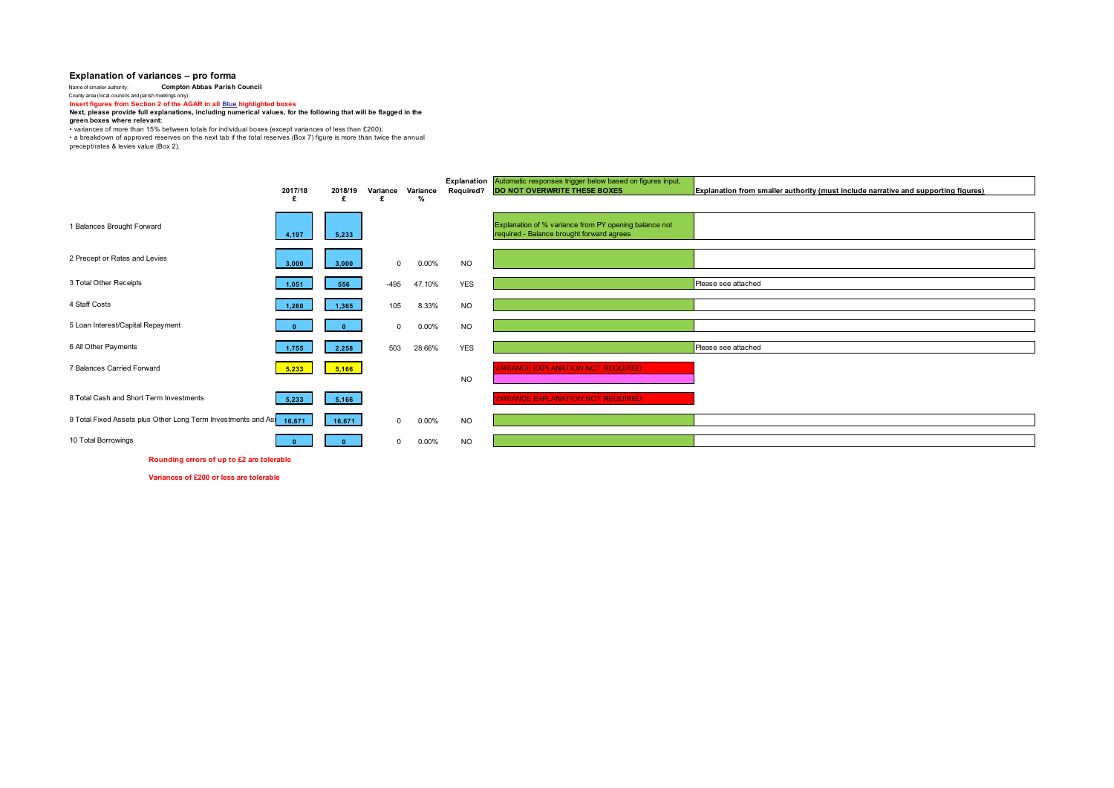## **Explanation of variances – pro forma**

Name of smaller authority: **Compton Abbas Parish Council** County area (local councils and parish meetings only): **Insert figures from Section 2 of the AGAR in all Blue highlighted boxes Next, please provide full explanations, including numerical values, for the following that will be flagged in the** 

**green boxes where relevant:**

• vanances of more than 15% between totals for individual boxes (except variances of less than £200);<br>• a breakdown of approved reserves on the next tab if the total reserves (Box 7) figure is more than twice the annual<br>pr

|                                                                     | 2017/18<br>£ | 2018/19 | Variance     | Variance<br>% | <b>Required?</b> | Explanation Automatic responses trigger below based on figures input,<br><b>DO NOT OVERWRITE THESE BOXES</b> | Explanation from smaller authority (must include narrative and supporting figures) |
|---------------------------------------------------------------------|--------------|---------|--------------|---------------|------------------|--------------------------------------------------------------------------------------------------------------|------------------------------------------------------------------------------------|
| 1 Balances Brought Forward                                          | 4,197        | 5,233   |              |               |                  | Explanation of % variance from PY opening balance not<br>required - Balance brought forward agrees           |                                                                                    |
| 2 Precept or Rates and Levies                                       | 3,000        | 3,000   | $\mathbf{0}$ | 0.00%         | <b>NO</b>        |                                                                                                              |                                                                                    |
| 3 Total Other Receipts                                              | 1,051        | 556     | $-495$       | 47.10%        | <b>YES</b>       |                                                                                                              | Please see attached                                                                |
| 4 Staff Costs                                                       | 1.260        | 1,365   | 105          | 8.33%         | <b>NO</b>        |                                                                                                              |                                                                                    |
| 5 Loan Interest/Capital Repayment                                   |              |         | $\Omega$     | 0.00%         | <b>NO</b>        |                                                                                                              |                                                                                    |
| 6 All Other Payments                                                | 1,755        | 2,258   | 503          | 28.66%        | <b>YES</b>       |                                                                                                              | Please see attached                                                                |
| 7 Balances Carried Forward                                          | 5,233        | 5,166   |              |               | <b>NO</b>        | <b>ARIANCE EXPLANATION NOT REQUIRED</b>                                                                      |                                                                                    |
| 8 Total Cash and Short Term Investments                             | 5,233        | 5,166   |              |               |                  | <b>ARIANCE EXPLANATION NOT REQUIRED</b>                                                                      |                                                                                    |
| 9 Total Fixed Assets plus Other Long Term Investments and As 16,671 |              | 16,671  | $\mathbf 0$  | 0.00%         | <b>NO</b>        |                                                                                                              |                                                                                    |
| 10 Total Borrowings                                                 |              |         | $\Omega$     | 0.00%         | <b>NO</b>        |                                                                                                              |                                                                                    |

**Rounding errors of up to £2 are tolerable**

**Variances of £200 or less are tolerable**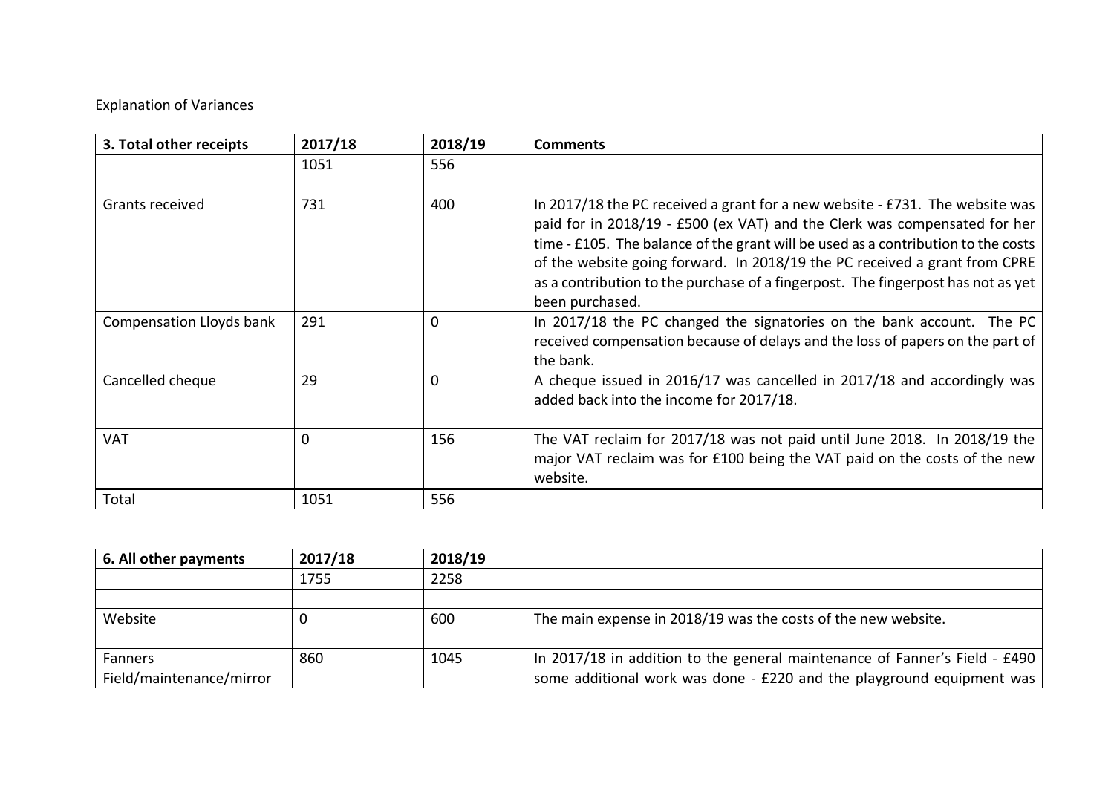## Explanation of Variances

| 3. Total other receipts  | 2017/18 | 2018/19  | <b>Comments</b>                                                                                                                                                                                                                                                                                                                                                                                                                     |
|--------------------------|---------|----------|-------------------------------------------------------------------------------------------------------------------------------------------------------------------------------------------------------------------------------------------------------------------------------------------------------------------------------------------------------------------------------------------------------------------------------------|
|                          | 1051    | 556      |                                                                                                                                                                                                                                                                                                                                                                                                                                     |
|                          |         |          |                                                                                                                                                                                                                                                                                                                                                                                                                                     |
| Grants received          | 731     | 400      | In 2017/18 the PC received a grant for a new website - £731. The website was<br>paid for in 2018/19 - £500 (ex VAT) and the Clerk was compensated for her<br>time - £105. The balance of the grant will be used as a contribution to the costs<br>of the website going forward. In 2018/19 the PC received a grant from CPRE<br>as a contribution to the purchase of a fingerpost. The fingerpost has not as yet<br>been purchased. |
| Compensation Lloyds bank | 291     | $\Omega$ | In 2017/18 the PC changed the signatories on the bank account. The PC<br>received compensation because of delays and the loss of papers on the part of<br>the bank.                                                                                                                                                                                                                                                                 |
| Cancelled cheque         | 29      | 0        | A cheque issued in 2016/17 was cancelled in 2017/18 and accordingly was<br>added back into the income for 2017/18.                                                                                                                                                                                                                                                                                                                  |
| <b>VAT</b>               | 0       | 156      | The VAT reclaim for 2017/18 was not paid until June 2018. In 2018/19 the<br>major VAT reclaim was for £100 being the VAT paid on the costs of the new<br>website.                                                                                                                                                                                                                                                                   |
| Total                    | 1051    | 556      |                                                                                                                                                                                                                                                                                                                                                                                                                                     |

| 6. All other payments               | 2017/18 | 2018/19 |                                                                                                                                                     |
|-------------------------------------|---------|---------|-----------------------------------------------------------------------------------------------------------------------------------------------------|
|                                     | 1755    | 2258    |                                                                                                                                                     |
|                                     |         |         |                                                                                                                                                     |
| Website                             |         | 600     | The main expense in 2018/19 was the costs of the new website.                                                                                       |
| Fanners<br>Field/maintenance/mirror | 860     | 1045    | In 2017/18 in addition to the general maintenance of Fanner's Field - £490<br>some additional work was done - £220 and the playground equipment was |